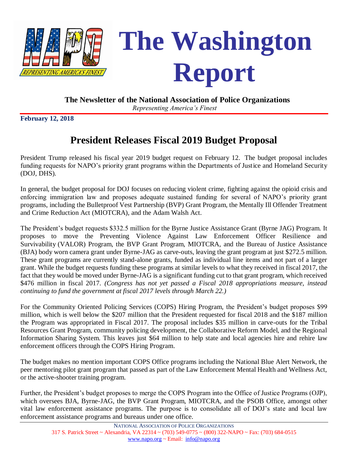



#### **The Newsletter of the National Association of Police Organizations**

*Representing America's Finest*

**February 12, 2018**

# **President Releases Fiscal 2019 Budget Proposal**

President Trump released his fiscal year 2019 budget request on February 12. The budget proposal includes funding requests for NAPO's priority grant programs within the Departments of Justice and Homeland Security (DOJ, DHS).

In general, the budget proposal for DOJ focuses on reducing violent crime, fighting against the opioid crisis and enforcing immigration law and proposes adequate sustained funding for several of NAPO's priority grant programs, including the Bulletproof Vest Partnership (BVP) Grant Program, the Mentally Ill Offender Treatment and Crime Reduction Act (MIOTCRA), and the Adam Walsh Act.

The President's budget requests \$332.5 million for the Byrne Justice Assistance Grant (Byrne JAG) Program. It proposes to move the Preventing Violence Against Law Enforcement Officer Resilience and Survivability (VALOR) Program, the BVP Grant Program, MIOTCRA, and the Bureau of Justice Assistance (BJA) body worn camera grant under Byrne-JAG as carve-outs, leaving the grant program at just \$272.5 million. These grant programs are currently stand-alone grants, funded as individual line items and not part of a larger grant. While the budget requests funding these programs at similar levels to what they received in fiscal 2017, the fact that they would be moved under Byrne-JAG is a significant funding cut to that grant program, which received \$476 million in fiscal 2017. *(Congress has not yet passed a Fiscal 2018 appropriations measure, instead continuing to fund the government at fiscal 2017 levels through March 22.)*

For the Community Oriented Policing Services (COPS) Hiring Program, the President's budget proposes \$99 million, which is well below the \$207 million that the President requested for fiscal 2018 and the \$187 million the Program was appropriated in Fiscal 2017. The proposal includes \$35 million in carve-outs for the Tribal Resources Grant Program, community policing development, the Collaborative Reform Model, and the Regional Information Sharing System. This leaves just \$64 million to help state and local agencies hire and rehire law enforcement officers through the COPS Hiring Program.

The budget makes no mention important COPS Office programs including the National Blue Alert Network, the peer mentoring pilot grant program that passed as part of the Law Enforcement Mental Health and Wellness Act, or the active-shooter training program.

Further, the President's budget proposes to merge the COPS Program into the Office of Justice Programs (OJP), which oversees BJA, Byrne-JAG, the BVP Grant Program, MIOTCRA, and the PSOB Office, amongst other vital law enforcement assistance programs. The purpose is to consolidate all of DOJ's state and local law enforcement assistance programs and bureaus under one office.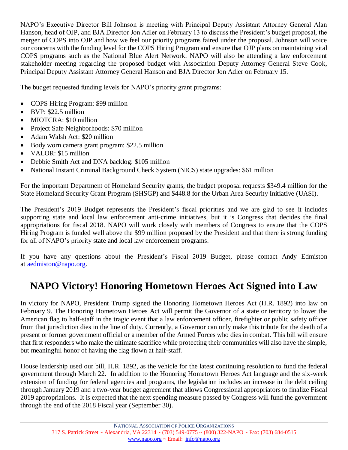NAPO's Executive Director Bill Johnson is meeting with Principal Deputy Assistant Attorney General Alan Hanson, head of OJP, and BJA Director Jon Adler on February 13 to discuss the President's budget proposal, the merger of COPS into OJP and how we feel our priority programs faired under the proposal. Johnson will voice our concerns with the funding level for the COPS Hiring Program and ensure that OJP plans on maintaining vital COPS programs such as the National Blue Alert Network. NAPO will also be attending a law enforcement stakeholder meeting regarding the proposed budget with Association Deputy Attorney General Steve Cook, Principal Deputy Assistant Attorney General Hanson and BJA Director Jon Adler on February 15.

The budget requested funding levels for NAPO's priority grant programs:

- COPS Hiring Program: \$99 million
- BVP: \$22.5 million
- MIOTCRA: \$10 million
- Project Safe Neighborhoods: \$70 million
- Adam Walsh Act: \$20 million
- Body worn camera grant program: \$22.5 million
- VALOR: \$15 million
- Debbie Smith Act and DNA backlog: \$105 million
- National Instant Criminal Background Check System (NICS) state upgrades: \$61 million

For the important Department of Homeland Security grants, the budget proposal requests \$349.4 million for the State Homeland Security Grant Program (SHSGP) and \$448.8 for the Urban Area Security Initiative (UASI).

The President's 2019 Budget represents the President's fiscal priorities and we are glad to see it includes supporting state and local law enforcement anti-crime initiatives, but it is Congress that decides the final appropriations for fiscal 2018. NAPO will work closely with members of Congress to ensure that the COPS Hiring Program is funded well above the \$99 million proposed by the President and that there is strong funding for all of NAPO's priority state and local law enforcement programs.

If you have any questions about the President's Fiscal 2019 Budget, please contact Andy Edmiston at [aedmiston@napo.org.](mailto:aedmiston@napo.org)

## **NAPO Victory! Honoring Hometown Heroes Act Signed into Law**

In victory for NAPO, President Trump signed the Honoring Hometown Heroes Act (H.R. 1892) into law on February 9. The Honoring Hometown Heroes Act will permit the Governor of a state or territory to lower the American flag to half-staff in the tragic event that a law enforcement officer, firefighter or public safety officer from that jurisdiction dies in the line of duty. Currently, a Governor can only make this tribute for the death of a present or former government official or a member of the Armed Forces who dies in combat. This bill will ensure that first responders who make the ultimate sacrifice while protecting their communities will also have the simple, but meaningful honor of having the flag flown at half-staff.

House leadership used our bill, H.R. 1892, as the vehicle for the latest continuing resolution to fund the federal government through March 22. In addition to the Honoring Hometown Heroes Act language and the six-week extension of funding for federal agencies and programs, the legislation includes an increase in the debt ceiling through January 2019 and a two-year budget agreement that allows Congressional appropriators to finalize Fiscal 2019 appropriations. It is expected that the next spending measure passed by Congress will fund the government through the end of the 2018 Fiscal year (September 30).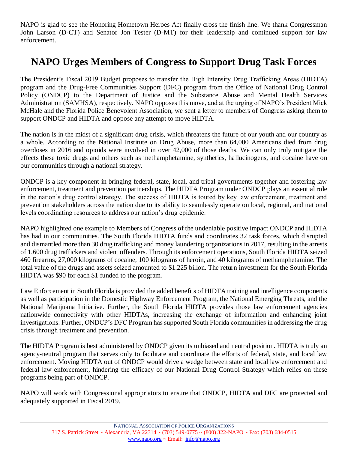NAPO is glad to see the Honoring Hometown Heroes Act finally cross the finish line. We thank Congressman John Larson (D-CT) and Senator Jon Tester (D-MT) for their leadership and continued support for law enforcement.

## **NAPO Urges Members of Congress to Support Drug Task Forces**

The President's Fiscal 2019 Budget proposes to transfer the High Intensity Drug Trafficking Areas (HIDTA) program and the Drug-Free Communities Support (DFC) program from the Office of National Drug Control Policy (ONDCP) to the Department of Justice and the Substance Abuse and Mental Health Services Administration (SAMHSA), respectively. NAPO opposes this move, and at the urging of NAPO's President Mick McHale and the Florida Police Benevolent Association, we sent a letter to members of Congress asking them to support ONDCP and HIDTA and oppose any attempt to move HIDTA.

The nation is in the midst of a significant drug crisis, which threatens the future of our youth and our country as a whole. According to the National Institute on Drug Abuse, more than 64,000 Americans died from drug overdoses in 2016 and opioids were involved in over 42,000 of those deaths. We can only truly mitigate the effects these toxic drugs and others such as methamphetamine, synthetics, hallucinogens, and cocaine have on our communities through a national strategy.

ONDCP is a key component in bringing federal, state, local, and tribal governments together and fostering law enforcement, treatment and prevention partnerships. The HIDTA Program under ONDCP plays an essential role in the nation's drug control strategy. The success of HIDTA is touted by key law enforcement, treatment and prevention stakeholders across the nation due to its ability to seamlessly operate on local, regional, and national levels coordinating resources to address our nation's drug epidemic.

NAPO highlighted one example to Members of Congress of the undeniable positive impact ONDCP and HIDTA has had in our communities. The South Florida HIDTA funds and coordinates 32 task forces, which disrupted and dismantled more than 30 drug trafficking and money laundering organizations in 2017, resulting in the arrests of 1,600 drug traffickers and violent offenders. Through its enforcement operations, South Florida HIDTA seized 460 firearms, 27,000 kilograms of cocaine, 100 kilograms of heroin, and 40 kilograms of methamphetamine. The total value of the drugs and assets seized amounted to \$1.225 billon. The return investment for the South Florida HIDTA was \$90 for each \$1 funded to the program.

Law Enforcement in South Florida is provided the added benefits of HIDTA training and intelligence components as well as participation in the Domestic Highway Enforcement Program, the National Emerging Threats, and the National Marijuana Initiative. Further, the South Florida HIDTA provides those law enforcement agencies nationwide connectivity with other HIDTAs, increasing the exchange of information and enhancing joint investigations. Further, ONDCP's DFC Program has supported South Florida communities in addressing the drug crisis through treatment and prevention.

The HIDTA Program is best administered by ONDCP given its unbiased and neutral position. HIDTA is truly an agency-neutral program that serves only to facilitate and coordinate the efforts of federal, state, and local law enforcement. Moving HIDTA out of ONDCP would drive a wedge between state and local law enforcement and federal law enforcement, hindering the efficacy of our National Drug Control Strategy which relies on these programs being part of ONDCP.

NAPO will work with Congressional appropriators to ensure that ONDCP, HIDTA and DFC are protected and adequately supported in Fiscal 2019.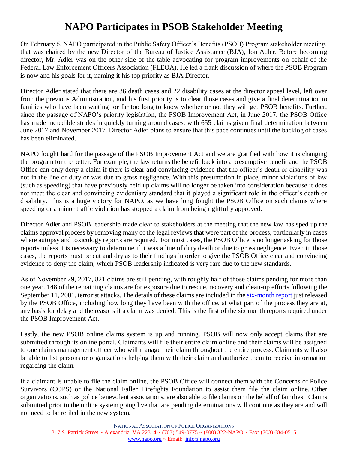# **NAPO Participates in PSOB Stakeholder Meeting**

On February 6, NAPO participated in the Public Safety Officer's Benefits (PSOB) Program stakeholder meeting, that was chaired by the new Director of the Bureau of Justice Assistance (BJA), Jon Adler. Before becoming director, Mr. Adler was on the other side of the table advocating for program improvements on behalf of the Federal Law Enforcement Officers Association (FLEOA). He led a frank discussion of where the PSOB Program is now and his goals for it, naming it his top priority as BJA Director.

Director Adler stated that there are 36 death cases and 22 disability cases at the director appeal level, left over from the previous Administration, and his first priority is to clear those cases and give a final determination to families who have been waiting for far too long to know whether or not they will get PSOB benefits. Further, since the passage of NAPO's priority legislation, the PSOB Improvement Act, in June 2017, the PSOB Office has made incredible strides in quickly turning around cases, with 655 claims given final determination between June 2017 and November 2017. Director Adler plans to ensure that this pace continues until the backlog of cases has been eliminated.

NAPO fought hard for the passage of the PSOB Improvement Act and we are gratified with how it is changing the program for the better. For example, the law returns the benefit back into a presumptive benefit and the PSOB Office can only deny a claim if there is clear and convincing evidence that the officer's death or disability was not in the line of duty or was due to gross negligence. With this presumption in place, minor violations of law (such as speeding) that have previously held up claims will no longer be taken into consideration because it does not meet the clear and convincing evidentiary standard that it played a significant role in the officer's death or disability. This is a huge victory for NAPO, as we have long fought the PSOB Office on such claims where speeding or a minor traffic violation has stopped a claim from being rightfully approved.

Director Adler and PSOB leadership made clear to stakeholders at the meeting that the new law has sped up the claims approval process by removing many of the legal reviews that were part of the process, particularly in cases where autopsy and toxicology reports are required. For most cases, the PSOB Office is no longer asking for those reports unless it is necessary to determine if it was a line of duty death or due to gross negligence. Even in those cases, the reports must be cut and dry as to their findings in order to give the PSOB Office clear and convincing evidence to deny the claim, which PSOB leadership indicated is very rare due to the new standards.

As of November 29, 2017, 821 claims are still pending, with roughly half of those claims pending for more than one year. 148 of the remaining claims are for exposure due to rescue, recovery and clean-up efforts following the September 11, 2001, terrorist attacks. The details of these claims are included in the [six-month report](file:///C:/Users/AEdmiston/Downloads/180%20Day%20Report%201%20(Final%20Version%20for%20Posting%201-16-18).pdf) just released by the PSOB Office, including how long they have been with the office, at what part of the process they are at, any basis for delay and the reasons if a claim was denied. This is the first of the six month reports required under the PSOB Improvement Act.

Lastly, the new PSOB online claims system is up and running. PSOB will now only accept claims that are submitted through its online portal. Claimants will file their entire claim online and their claims will be assigned to one claims management officer who will manage their claim throughout the entire process. Claimants will also be able to list persons or organizations helping them with their claim and authorize them to receive information regarding the claim.

If a claimant is unable to file the claim online, the PSOB Office will connect them with the Concerns of Police Survivors (COPS) or the National Fallen Firefights Foundation to assist them file the claim online. Other organizations, such as police benevolent associations, are also able to file claims on the behalf of families. Claims submitted prior to the online system going live that are pending determinations will continue as they are and will not need to be refiled in the new system.